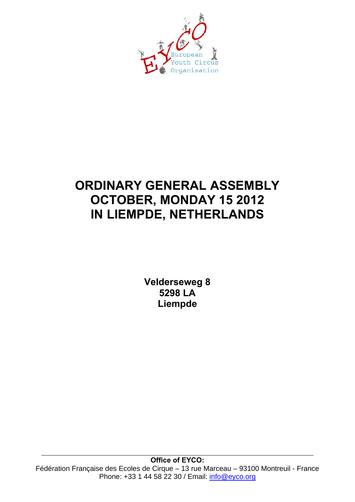

## **ORDINARY GENERAL ASSEMBLY OCTOBER, MONDAY 15 2012 IN LIEMPDE, NETHERLANDS**

**Velderseweg 8 5298 LA Liempde**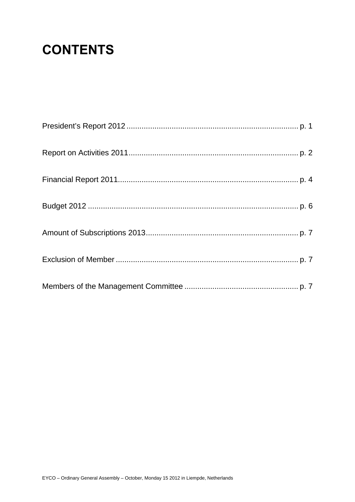# **CONTENTS**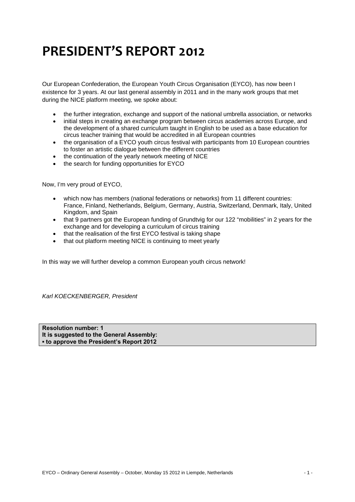## **PRESIDENT'S REPORT 2012**

Our European Confederation, the European Youth Circus Organisation (EYCO), has now been I existence for 3 years. At our last general assembly in 2011 and in the many work groups that met during the NICE platform meeting, we spoke about:

- the further integration, exchange and support of the national umbrella association, or networks
- initial steps in creating an exchange program between circus academies across Europe, and the development of a shared curriculum taught in English to be used as a base education for circus teacher training that would be accredited in all European countries
- the organisation of a EYCO youth circus festival with participants from 10 European countries to foster an artistic dialogue between the different countries
- the continuation of the yearly network meeting of NICE
- the search for funding opportunities for EYCO

Now, I'm very proud of EYCO,

- which now has members (national federations or networks) from 11 different countries: France, Finland, Netherlands, Belgium, Germany, Austria, Switzerland, Denmark, Italy, United Kingdom, and Spain
- that 9 partners got the European funding of Grundtvig for our 122 "mobilities" in 2 years for the exchange and for developing a curriculum of circus training
- that the realisation of the first EYCO festival is taking shape
- that out platform meeting NICE is continuing to meet yearly

In this way we will further develop a common European youth circus network!

*Karl KOECKENBERGER, President* 

**Resolution number: 1 It is suggested to the General Assembly: ▪ to approve the President's Report 2012**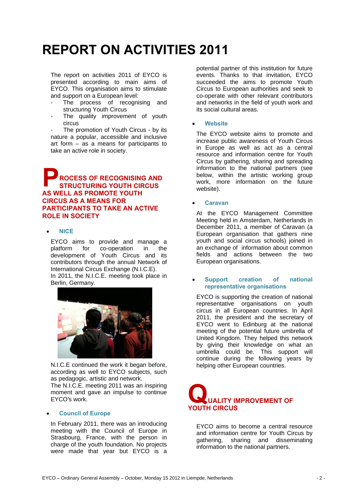# **REPORT ON ACTIVITIES 2011**

The report on activities 2011 of EYCO is presented according to main aims of EYCO. This organisation aims to stimulate and support on a European level:

- The process of recognising and structuring Youth Circus
- The quality improvement of youth circus

The promotion of Youth Circus - by its nature a popular, accessible and inclusive art form – as a means for participants to take an active role in society.

## **ROCESS OF RECOGNISING AND STRUCTURING YOUTH CIRCUS AS WELL AS PROMOTE YOUTH CIRCUS AS A MEANS FOR PARTICIPANTS TO TAKE AN ACTIVE ROLE IN SOCIETY P**

## • **NICE**

EYCO aims to provide and manage a<br>platform for co-operation in the for co-operation in the development of Youth Circus and its contributors through the annual Network of International Circus Exchange (N.I.C.E).

In 2011, the N.I.C.E. meeting took place in Berlin, Germany.



N.I.C.E continued the work it began before, according as well to EYCO subjects, such as pedagogic, artistic and network.

The N.I.C.E. meeting 2011 was an inspiring moment and gave an impulse to continue EYCO's work.

## • **Council of Europe**

In February 2011, there was an introducing meeting with the Council of Europe in Strasbourg, France, with the person in charge of the youth foundation. No projects were made that year but EYCO is a

potential partner of this institution for future events. Thanks to that invitation, EYCO succeeded the aims to promote Youth Circus to European authorities and seek to co-operate with other relevant contributors and networks in the field of youth work and its social cultural areas.

## • **Website**

The EYCO website aims to promote and increase public awareness of Youth Circus in Europe as well as act as a central resource and information centre for Youth Circus by gathering, sharing and spreading information to the national partners (see below, within the artistic working group work, more information on the future website).

## • **Caravan**

At the EYCO Management Committee Meeting held in Amsterdam, Netherlands in December 2011, a member of Caravan (a European organisation that gathers nine youth and social circus schools) joined in an exchange of information about common fields and actions between the two European organisations.

### • **Support creation of national representative organisations**

EYCO is supporting the creation of national representative organisations on youth circus in all European countries. In April 2011, the president and the secretary of EYCO went to Edinburg at the national meeting of the potential future umbrella of United Kingdom. They helped this network by giving their knowledge on what an umbrella could be. This support will continue during the following years by helping other European countries.



EYCO aims to become a central resource and information centre for Youth Circus by gathering, sharing and disseminating information to the national partners.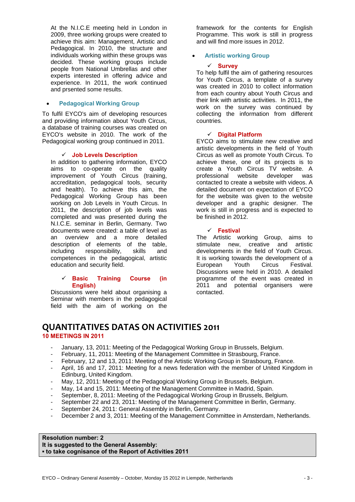At the N.I.C.E meeting held in London in 2009, three working groups were created to achieve this aim: Management, Artistic and Pedagogical. In 2010, the structure and individuals working within these groups was decided. These working groups include people from National Umbrellas and other experts interested in offering advice and experience. In 2011, the work continued and prsented some results.

## • **Pedagogical Working Group**

To fulfil EYCO's aim of developing resources and providing information about Youth Circus, a database of training courses was created on EYCO's website in 2010. The work of the Pedagogical working group continued in 2011.

## 9 **Job Levels Description**

In addition to gathering information, EYCO aims to co-operate on the quality improvement of Youth Circus (training, accreditation, pedagogical tools, security and health). To achieve this aim, the Pedagogical Working Group has been working on Job Levels in Youth Circus. In 2011, the description of job levels was completed and was presented during the N.I.C.E. seminar in Berlin, Germany. Two documents were created: a table of level as an overview and a more detailed description of elements of the table, including responsibility, skills and competences in the pedagogical, artistic education and security field.

### 9 **Basic Training Course (in English)**

Discussions were held about organising a Seminar with members in the pedagogical field with the aim of working on the framework for the contents for English Programme. This work is still in progress and will find more issues in 2012.

## • **Artistic working Group**

## 9 **Survey**

To help fulfil the aim of gathering resources for Youth Circus, a template of a survey was created in 2010 to collect information from each country about Youth Circus and their link with artistic activities. In 2011, the work on the survey was continued by collecting the information from different countries.

### 9 **Digital Platform**

EYCO aims to stimulate new creative and artistic developments in the field of Youth Circus as well as promote Youth Circus. To achieve these, one of its projects is to create a Youth Circus TV website. A professional website developer was contacted to create a website with videos. A detailed document on expectation of EYCO for the website was given to the website developer and a graphic designer. The work is still in progress and is expected to be finished in 2012.

## 9 **Festival**

The Artistic working Group, aims to stimulate new, creative and artistic developments in the field of Youth Circus. It is working towards the development of a<br>European Youth Circus Festival. European Youth Circus Festival. Discussions were held in 2010. A detailed programme of the event was created in 2011 and potential organisers were contacted.

## **QUANTITATIVES DATAS ON ACTIVITIES 2011 10 MEETINGS IN 2011**

## January, 13, 2011: Meeting of the Pedagogical Working Group in Brussels, Belgium.

- February, 11, 2011: Meeting of the Management Committee in Strasbourg, France.
- February, 12 and 13, 2011: Meeting of the Artistic Working Group in Strasbourg, France.
- April, 16 and 17, 2011: Meeting for a news federation with the member of United Kingdom in Edinburg, United Kingdom.
- May, 12, 2011: Meeting of the Pedagogical Working Group in Brussels, Belgium.
- May, 14 and 15, 2011: Meeting of the Management Committee in Madrid, Spain.
- September, 8, 2011: Meeting of the Pedagogical Working Group in Brussels, Belgium.
- September 22 and 23, 2011: Meeting of the Management Committee in Berlin, Germany.
- September 24, 2011: General Assembly in Berlin, Germany.
- December 2 and 3, 2011: Meeting of the Management Committee in Amsterdam, Netherlands.

### **Resolution number: 2 It is suggested to the General Assembly: ▪ to take cognisance of the Report of Activities 2011**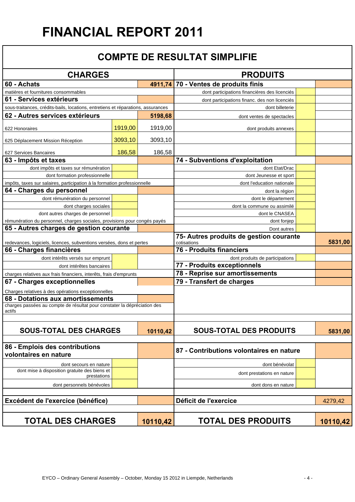# **FINANCIAL REPORT 2011**

## **COMPTE DE RESULTAT SIMPLIFIE**

| <b>CHARGES</b>                                                                     |         | <b>PRODUITS</b>                                        |                                               |         |
|------------------------------------------------------------------------------------|---------|--------------------------------------------------------|-----------------------------------------------|---------|
|                                                                                    |         |                                                        |                                               |         |
| 60 - Achats                                                                        |         |                                                        | 4911,74 70 - Ventes de produits finis         |         |
| matières et fournitures consommables                                               |         |                                                        | dont participations financières des licenciés |         |
| 61 - Services extérieurs                                                           |         |                                                        | dont participations financ. des non licenciés |         |
| sous-traitances, crédits-bails, locations, entretiens et réparations, assurances   |         |                                                        | dont billeterie                               |         |
| 62 - Autres services extérieurs                                                    |         | 5198,68                                                | dont ventes de spectacles                     |         |
| 622 Honoraires                                                                     | 1919,00 | 1919,00                                                | dont produits annexes                         |         |
| 625 Déplacement Mission Réception                                                  | 3093,10 | 3093,10                                                |                                               |         |
| 627 Services Bancaires                                                             | 186,58  | 186,58                                                 |                                               |         |
| 63 - Impôts et taxes                                                               |         |                                                        | 74 - Subventions d'exploitation               |         |
| dont impôts et taxes sur rémunération                                              |         |                                                        | dont Etat/Drac                                |         |
| dont formation professionnelle                                                     |         |                                                        | dont Jeunesse et sport                        |         |
| impôts, taxes sur salaires, participation à la formation professionnelle           |         |                                                        | dont l'education nationale                    |         |
| 64 - Charges du personnel                                                          |         |                                                        | dont la région                                |         |
| dont rémunération du personnel                                                     |         |                                                        | dont le département                           |         |
| dont charges sociales                                                              |         |                                                        | dont la commune ou assimilé                   |         |
| dont autres charges de personnel                                                   |         |                                                        | dont le CNASEA                                |         |
| rémunération du personnel, charges sociales, provisions pour congés payés          |         |                                                        | dont fonjep                                   |         |
| 65 - Autres charges de gestion courante                                            |         |                                                        | Dont autres                                   |         |
| redevances, logiciels, licences, subventions versées, dons et pertes               |         | 75- Autres produits de gestion courante<br>cotisations | 5831,00                                       |         |
| 66 - Charges financières                                                           |         |                                                        | 76 - Produits financiers                      |         |
| dont intérêts versés sur emprunt                                                   |         |                                                        | dont produits de participations               |         |
| dont intérêtes bancaires                                                           |         |                                                        | 77 - Produits exceptionnels                   |         |
| charges relatives aux frais financiers, interêts, frais d'emprunts                 |         |                                                        | 78 - Reprise sur amortissements               |         |
| 67 - Charges exceptionnelles                                                       |         |                                                        | 79 - Transfert de charges                     |         |
| Charges relatives à des opérations exceptionnelles                                 |         |                                                        |                                               |         |
| 68 - Dotations aux amortissements                                                  |         |                                                        |                                               |         |
| charges passées au compte de résultat pour constater la dépréciation des<br>actifs |         |                                                        |                                               |         |
|                                                                                    |         |                                                        |                                               |         |
| <b>SOUS-TOTAL DES CHARGES</b>                                                      |         | 10110,42                                               | <b>SOUS-TOTAL DES PRODUITS</b>                | 5831,00 |
|                                                                                    |         |                                                        |                                               |         |
| 86 - Emplois des contributions<br>volontaires en nature                            |         |                                                        | 87 - Contributions volontaires en nature      |         |
| dont secours en nature                                                             |         |                                                        | dont bénévolat                                |         |
| dont mise à disposition gratuite des biens et<br>prestations                       |         |                                                        | dont prestations en nature                    |         |
| dont personnels bénévoles                                                          |         |                                                        | dont dons en nature                           |         |
| Excédent de l'exercice (bénéfice)                                                  |         |                                                        | Déficit de l'exercice                         | 4279,42 |
|                                                                                    |         |                                                        |                                               |         |
| <b>TOTAL DES CHARGES</b><br>10110,42                                               |         | <b>TOTAL DES PRODUITS</b>                              | 10110,42                                      |         |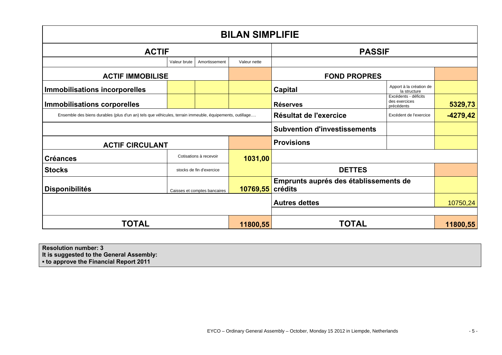| <b>BILAN SIMPLIFIE</b>                                                                                  |              |                              |                      |                                       |                                                     |            |
|---------------------------------------------------------------------------------------------------------|--------------|------------------------------|----------------------|---------------------------------------|-----------------------------------------------------|------------|
| <b>ACTIF</b>                                                                                            |              |                              | <b>PASSIF</b>        |                                       |                                                     |            |
|                                                                                                         | Valeur brute | Amortissement                | Valeur nette         |                                       |                                                     |            |
| <b>ACTIF IMMOBILISE</b>                                                                                 |              |                              | <b>FOND PROPRES</b>  |                                       |                                                     |            |
| <b>Immobilisations incorporelles</b>                                                                    |              |                              |                      | Capital                               | Apport à la création de<br>la structure             |            |
| <b>Immobilisations corporelles</b>                                                                      |              |                              |                      | <b>Réserves</b>                       | Excédents - déficits<br>des exercices<br>précédents | 5329,73    |
| Ensemble des biens durables (plus d'un an) tels que véhicules, terrain immeuble, équipements, outillage |              |                              |                      | Résultat de l'exercice                | Excédent de l'exercice                              | $-4279,42$ |
|                                                                                                         |              |                              |                      | <b>Subvention d'investissements</b>   |                                                     |            |
| <b>ACTIF CIRCULANT</b>                                                                                  |              |                              |                      | <b>Provisions</b>                     |                                                     |            |
| <b>Créances</b>                                                                                         |              | Cotisations à recevoir       | 1031,00              |                                       |                                                     |            |
| <b>Stocks</b>                                                                                           |              | stocks de fin d'exercice     |                      | <b>DETTES</b>                         |                                                     |            |
| <b>Disponibilités</b>                                                                                   |              | Caisses et comptes bancaires | 10769,55 crédits     | Emprunts auprés des établissements de |                                                     |            |
|                                                                                                         |              |                              | <b>Autres dettes</b> |                                       | 10750,24                                            |            |
|                                                                                                         |              |                              |                      |                                       |                                                     |            |
| <b>TOTAL</b>                                                                                            |              | 11800,55                     | <b>TOTAL</b>         |                                       | 11800,55                                            |            |

**Resolution number: 3** 

**It is suggested to the General Assembly:** 

**▪ to approve the Financial Report 2011**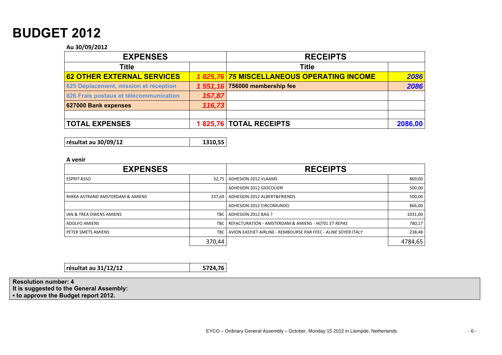## **BUDGET 2012**

#### **Au 30/09/2012**

| <b>EXPENSES</b>                        |        | <b>RECEIPTS</b>                           |         |
|----------------------------------------|--------|-------------------------------------------|---------|
| Title                                  |        | <b>Title</b>                              |         |
| <b>62 OTHER EXTERNAL SERVICES</b>      |        | 1825,76 75 MISCELLANEOUS OPERATING INCOME | 2086    |
| 625 Déplacement, mission et réception  |        | 1 551,16 756000 membership fee            | 2086    |
| 626 Frais postaux et télécommunication | 157,87 |                                           |         |
| 627000 Bank expenses                   | 116,73 |                                           |         |
| <b>TOTAL EXPENSES</b>                  |        | 1825,76 TOTAL RECEIPTS                    | 2086,00 |

**résultat au 30/09/12 1310,55**

#### **A venir**

| <b>EXPENSES</b>                   |        | <b>RECEIPTS</b>                                                      |         |
|-----------------------------------|--------|----------------------------------------------------------------------|---------|
| <b>ESPRIT ASSO</b>                | 32.75  | ADHESION 2012 VLAAMS                                                 | 869,00  |
|                                   |        | ADHESION 2012 GIOCOLIERI                                             | 500,00  |
| RIIKKA ASTRAND AMSTERDAM & AMIENS |        | 337.69   ADHESION 2012 ALBERT&FRIENDS                                | 500,00  |
|                                   |        | ADHESION 2012 CIRCOMUNDO                                             | 866,00  |
| IAN & TREA OWENS AMIENS           | TBC    | ADHESION 2012 BAG ?                                                  | 1031,00 |
| ADOLFO AMIENS                     | TBC I  | REFACTURATION - AMSTERDAM & AMIENS - HOTEL ET REPAS                  | 780,17  |
| PETER SMETS AMIENS                |        | TBC   AVION EASYJET AIRLINE - REMBOURSE PAR FFEC - ALINE SOYER ITALY | 238,48  |
|                                   | 370,44 |                                                                      | 4784,65 |

**résultat au 31/12/12 5724,76**

**Resolution number: 4 It is suggested to the General Assembly: ▪ to approve the Budget report 2012.**